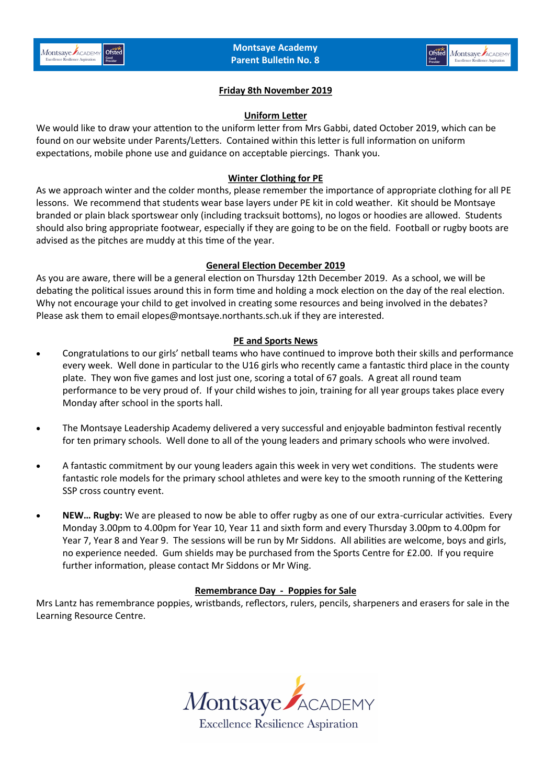

# **Friday 8th November 2019**

#### **Uniform Letter**

We would like to draw your attention to the uniform letter from Mrs Gabbi, dated October 2019, which can be found on our website under Parents/Letters. Contained within this letter is full information on uniform expectations, mobile phone use and guidance on acceptable piercings. Thank you.

### **Winter Clothing for PE**

As we approach winter and the colder months, please remember the importance of appropriate clothing for all PE lessons. We recommend that students wear base layers under PE kit in cold weather. Kit should be Montsaye branded or plain black sportswear only (including tracksuit bottoms), no logos or hoodies are allowed. Students should also bring appropriate footwear, especially if they are going to be on the field. Football or rugby boots are advised as the pitches are muddy at this time of the year.

### **General Election December 2019**

As you are aware, there will be a general election on Thursday 12th December 2019. As a school, we will be debating the political issues around this in form time and holding a mock election on the day of the real election. Why not encourage your child to get involved in creating some resources and being involved in the debates? Please ask them to email elopes@montsaye.northants.sch.uk if they are interested.

# **PE and Sports News**

- Congratulations to our girls' netball teams who have continued to improve both their skills and performance every week. Well done in particular to the U16 girls who recently came a fantastic third place in the county plate. They won five games and lost just one, scoring a total of 67 goals. A great all round team performance to be very proud of. If your child wishes to join, training for all year groups takes place every Monday after school in the sports hall.
- The Montsaye Leadership Academy delivered a very successful and enjoyable badminton festival recently for ten primary schools. Well done to all of the young leaders and primary schools who were involved.
- A fantastic commitment by our young leaders again this week in very wet conditions. The students were fantastic role models for the primary school athletes and were key to the smooth running of the Kettering SSP cross country event.
- **NEW… Rugby:** We are pleased to now be able to offer rugby as one of our extra-curricular activities. Every Monday 3.00pm to 4.00pm for Year 10, Year 11 and sixth form and every Thursday 3.00pm to 4.00pm for Year 7, Year 8 and Year 9. The sessions will be run by Mr Siddons. All abilities are welcome, boys and girls, no experience needed. Gum shields may be purchased from the Sports Centre for £2.00. If you require further information, please contact Mr Siddons or Mr Wing.

# **Remembrance Day - Poppies for Sale**

Mrs Lantz has remembrance poppies, wristbands, reflectors, rulers, pencils, sharpeners and erasers for sale in the Learning Resource Centre.